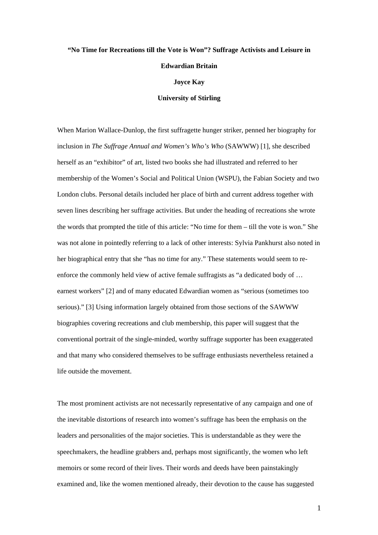## **"No Time for Recreations till the Vote is Won"? Suffrage Activists and Leisure in Edwardian Britain Joyce Kay University of Stirling**

When Marion Wallace-Dunlop, the first suffragette hunger striker, penned her biography for inclusion in *The Suffrage Annual and Women's Who's Who* (SAWWW) [1], she described herself as an "exhibitor" of art, listed two books she had illustrated and referred to her membership of the Women's Social and Political Union (WSPU), the Fabian Society and two London clubs. Personal details included her place of birth and current address together with seven lines describing her suffrage activities. But under the heading of recreations she wrote the words that prompted the title of this article: "No time for them – till the vote is won." She was not alone in pointedly referring to a lack of other interests: Sylvia Pankhurst also noted in her biographical entry that she "has no time for any." These statements would seem to reenforce the commonly held view of active female suffragists as "a dedicated body of … earnest workers" [2] and of many educated Edwardian women as "serious (sometimes too serious)." [3] Using information largely obtained from those sections of the SAWWW biographies covering recreations and club membership, this paper will suggest that the conventional portrait of the single-minded, worthy suffrage supporter has been exaggerated and that many who considered themselves to be suffrage enthusiasts nevertheless retained a life outside the movement.

The most prominent activists are not necessarily representative of any campaign and one of the inevitable distortions of research into women's suffrage has been the emphasis on the leaders and personalities of the major societies. This is understandable as they were the speechmakers, the headline grabbers and, perhaps most significantly, the women who left memoirs or some record of their lives. Their words and deeds have been painstakingly examined and, like the women mentioned already, their devotion to the cause has suggested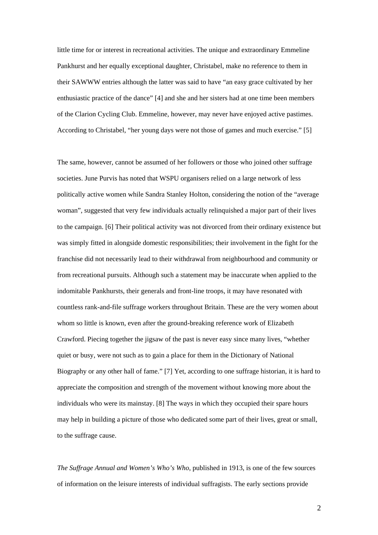little time for or interest in recreational activities. The unique and extraordinary Emmeline Pankhurst and her equally exceptional daughter, Christabel, make no reference to them in their SAWWW entries although the latter was said to have "an easy grace cultivated by her enthusiastic practice of the dance" [4] and she and her sisters had at one time been members of the Clarion Cycling Club. Emmeline, however, may never have enjoyed active pastimes. According to Christabel, "her young days were not those of games and much exercise." [5]

The same, however, cannot be assumed of her followers or those who joined other suffrage societies. June Purvis has noted that WSPU organisers relied on a large network of less politically active women while Sandra Stanley Holton, considering the notion of the "average woman", suggested that very few individuals actually relinquished a major part of their lives to the campaign. [6] Their political activity was not divorced from their ordinary existence but was simply fitted in alongside domestic responsibilities; their involvement in the fight for the franchise did not necessarily lead to their withdrawal from neighbourhood and community or from recreational pursuits. Although such a statement may be inaccurate when applied to the indomitable Pankhursts, their generals and front-line troops, it may have resonated with countless rank-and-file suffrage workers throughout Britain. These are the very women about whom so little is known, even after the ground-breaking reference work of Elizabeth Crawford. Piecing together the jigsaw of the past is never easy since many lives, "whether quiet or busy, were not such as to gain a place for them in the Dictionary of National Biography or any other hall of fame." [7] Yet*,* according to one suffrage historian, it is hard to appreciate the composition and strength of the movement without knowing more about the individuals who were its mainstay. [8] The ways in which they occupied their spare hours may help in building a picture of those who dedicated some part of their lives, great or small, to the suffrage cause.

*The Suffrage Annual and Women's Who's Who*, published in 1913, is one of the few sources of information on the leisure interests of individual suffragists. The early sections provide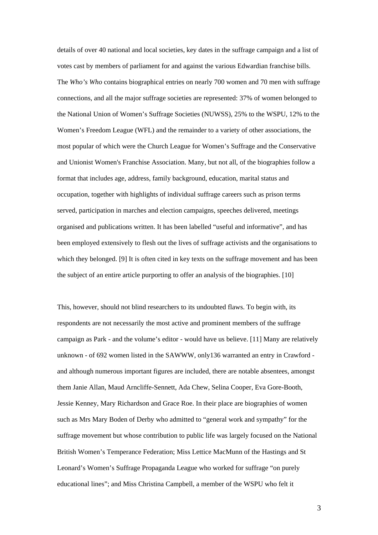details of over 40 national and local societies, key dates in the suffrage campaign and a list of votes cast by members of parliament for and against the various Edwardian franchise bills. The *Who's Who* contains biographical entries on nearly 700 women and 70 men with suffrage connections, and all the major suffrage societies are represented: 37% of women belonged to the National Union of Women's Suffrage Societies (NUWSS), 25% to the WSPU, 12% to the Women's Freedom League (WFL) and the remainder to a variety of other associations, the most popular of which were the Church League for Women's Suffrage and the Conservative and Unionist Women's Franchise Association. Many, but not all, of the biographies follow a format that includes age, address, family background, education, marital status and occupation, together with highlights of individual suffrage careers such as prison terms served, participation in marches and election campaigns, speeches delivered, meetings organised and publications written. It has been labelled "useful and informative", and has been employed extensively to flesh out the lives of suffrage activists and the organisations to which they belonged. [9] It is often cited in key texts on the suffrage movement and has been the subject of an entire article purporting to offer an analysis of the biographies. [10]

This, however, should not blind researchers to its undoubted flaws. To begin with, its respondents are not necessarily the most active and prominent members of the suffrage campaign as Park - and the volume's editor - would have us believe. [11] Many are relatively unknown - of 692 women listed in the SAWWW, only136 warranted an entry in Crawford and although numerous important figures are included, there are notable absentees, amongst them Janie Allan, Maud Arncliffe-Sennett, Ada Chew, Selina Cooper, Eva Gore-Booth, Jessie Kenney, Mary Richardson and Grace Roe. In their place are biographies of women such as Mrs Mary Boden of Derby who admitted to "general work and sympathy" for the suffrage movement but whose contribution to public life was largely focused on the National British Women's Temperance Federation; Miss Lettice MacMunn of the Hastings and St Leonard's Women's Suffrage Propaganda League who worked for suffrage "on purely educational lines"; and Miss Christina Campbell, a member of the WSPU who felt it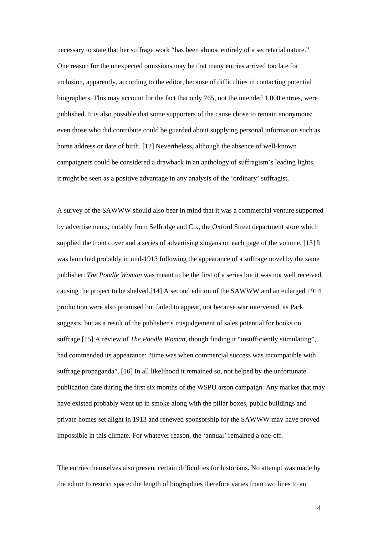necessary to state that her suffrage work "has been almost entirely of a secretarial nature." One reason for the unexpected omissions may be that many entries arrived too late for inclusion, apparently, according to the editor, because of difficulties in contacting potential biographers. This may account for the fact that only 765, not the intended 1,000 entries, were published. It is also possible that some supporters of the cause chose to remain anonymous; even those who did contribute could be guarded about supplying personal information such as home address or date of birth. [12] Nevertheless, although the absence of well-known campaigners could be considered a drawback in an anthology of suffragism's leading lights, it might be seen as a positive advantage in any analysis of the 'ordinary' suffragist.

A survey of the SAWWW should also bear in mind that it was a commercial venture supported by advertisements, notably from Selfridge and Co., the Oxford Street department store which supplied the front cover and a series of advertising slogans on each page of the volume. [13] It was launched probably in mid-1913 following the appearance of a suffrage novel by the same publisher: *The Poodle Woman* was meant to be the first of a series but it was not well received, causing the project to be shelved.[14] A second edition of the SAWWW and an enlarged 1914 production were also promised but failed to appear, not because war intervened, as Park suggests, but as a result of the publisher's misjudgement of sales potential for books on suffrage.[15] A review of *The Poodle Woman*, though finding it "insufficiently stimulating", had commended its appearance: "time was when commercial success was incompatible with suffrage propaganda". [16] In all likelihood it remained so, not helped by the unfortunate publication date during the first six months of the WSPU arson campaign. Any market that may have existed probably went up in smoke along with the pillar boxes, public buildings and private homes set alight in 1913 and renewed sponsorship for the SAWWW may have proved impossible in this climate. For whatever reason, the 'annual' remained a one-off.

The entries themselves also present certain difficulties for historians. No attempt was made by the editor to restrict space: the length of biographies therefore varies from two lines to an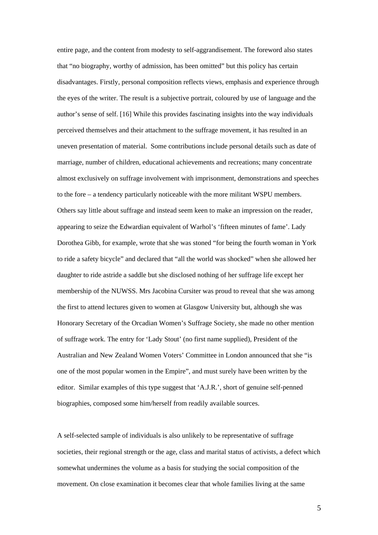entire page, and the content from modesty to self-aggrandisement. The foreword also states that "no biography, worthy of admission, has been omitted" but this policy has certain disadvantages. Firstly, personal composition reflects views, emphasis and experience through the eyes of the writer. The result is a subjective portrait, coloured by use of language and the author's sense of self. [16] While this provides fascinating insights into the way individuals perceived themselves and their attachment to the suffrage movement, it has resulted in an uneven presentation of material. Some contributions include personal details such as date of marriage, number of children, educational achievements and recreations; many concentrate almost exclusively on suffrage involvement with imprisonment, demonstrations and speeches to the fore – a tendency particularly noticeable with the more militant WSPU members. Others say little about suffrage and instead seem keen to make an impression on the reader, appearing to seize the Edwardian equivalent of Warhol's 'fifteen minutes of fame'. Lady Dorothea Gibb, for example, wrote that she was stoned "for being the fourth woman in York to ride a safety bicycle" and declared that "all the world was shocked" when she allowed her daughter to ride astride a saddle but she disclosed nothing of her suffrage life except her membership of the NUWSS. Mrs Jacobina Cursiter was proud to reveal that she was among the first to attend lectures given to women at Glasgow University but, although she was Honorary Secretary of the Orcadian Women's Suffrage Society, she made no other mention of suffrage work. The entry for 'Lady Stout' (no first name supplied), President of the Australian and New Zealand Women Voters' Committee in London announced that she "is one of the most popular women in the Empire", and must surely have been written by the editor. Similar examples of this type suggest that 'A.J.R.', short of genuine self-penned biographies, composed some him/herself from readily available sources.

A self-selected sample of individuals is also unlikely to be representative of suffrage societies, their regional strength or the age, class and marital status of activists, a defect which somewhat undermines the volume as a basis for studying the social composition of the movement. On close examination it becomes clear that whole families living at the same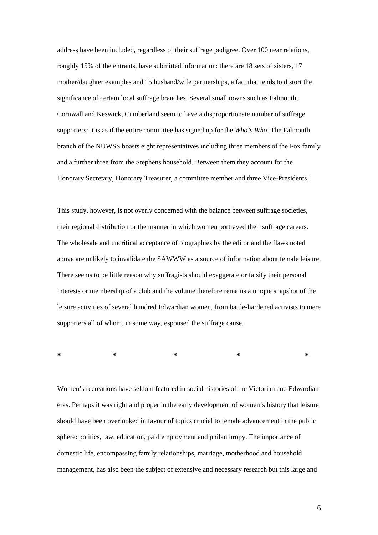address have been included, regardless of their suffrage pedigree. Over 100 near relations, roughly 15% of the entrants, have submitted information: there are 18 sets of sisters, 17 mother/daughter examples and 15 husband/wife partnerships, a fact that tends to distort the significance of certain local suffrage branches. Several small towns such as Falmouth, Cornwall and Keswick, Cumberland seem to have a disproportionate number of suffrage supporters: it is as if the entire committee has signed up for the *Who's Who*. The Falmouth branch of the NUWSS boasts eight representatives including three members of the Fox family and a further three from the Stephens household. Between them they account for the Honorary Secretary, Honorary Treasurer, a committee member and three Vice-Presidents!

This study, however, is not overly concerned with the balance between suffrage societies, their regional distribution or the manner in which women portrayed their suffrage careers. The wholesale and uncritical acceptance of biographies by the editor and the flaws noted above are unlikely to invalidate the SAWWW as a source of information about female leisure. There seems to be little reason why suffragists should exaggerate or falsify their personal interests or membership of a club and the volume therefore remains a unique snapshot of the leisure activities of several hundred Edwardian women, from battle-hardened activists to mere supporters all of whom, in some way, espoused the suffrage cause.

**\* \* \* \* \*** 

Women's recreations have seldom featured in social histories of the Victorian and Edwardian eras. Perhaps it was right and proper in the early development of women's history that leisure should have been overlooked in favour of topics crucial to female advancement in the public sphere: politics, law, education, paid employment and philanthropy. The importance of domestic life, encompassing family relationships, marriage, motherhood and household management, has also been the subject of extensive and necessary research but this large and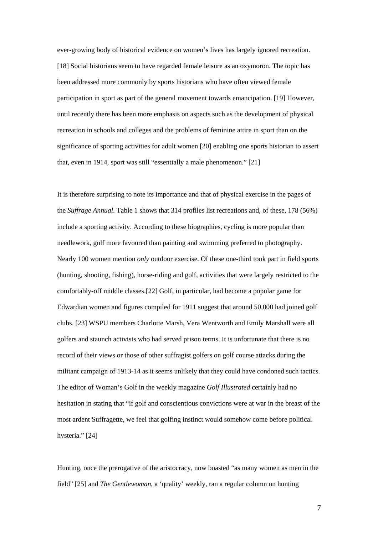ever-growing body of historical evidence on women's lives has largely ignored recreation. [18] Social historians seem to have regarded female leisure as an oxymoron. The topic has been addressed more commonly by sports historians who have often viewed female participation in sport as part of the general movement towards emancipation. [19] However, until recently there has been more emphasis on aspects such as the development of physical recreation in schools and colleges and the problems of feminine attire in sport than on the significance of sporting activities for adult women [20] enabling one sports historian to assert that, even in 1914, sport was still "essentially a male phenomenon." [21]

It is therefore surprising to note its importance and that of physical exercise in the pages of the *Suffrage Annual*. Table 1 shows that 314 profiles list recreations and, of these, 178 (56%) include a sporting activity. According to these biographies, cycling is more popular than needlework, golf more favoured than painting and swimming preferred to photography. Nearly 100 women mention *only* outdoor exercise. Of these one-third took part in field sports (hunting, shooting, fishing), horse-riding and golf, activities that were largely restricted to the comfortably-off middle classes.[22] Golf, in particular, had become a popular game for Edwardian women and figures compiled for 1911 suggest that around 50,000 had joined golf clubs. [23] WSPU members Charlotte Marsh, Vera Wentworth and Emily Marshall were all golfers and staunch activists who had served prison terms. It is unfortunate that there is no record of their views or those of other suffragist golfers on golf course attacks during the militant campaign of 1913-14 as it seems unlikely that they could have condoned such tactics. The editor of Woman's Golf in the weekly magazine *Golf Illustrated* certainly had no hesitation in stating that "if golf and conscientious convictions were at war in the breast of the most ardent Suffragette, we feel that golfing instinct would somehow come before political hysteria." [24]

Hunting, once the prerogative of the aristocracy, now boasted "as many women as men in the field" [25] and *The Gentlewoman*, a 'quality' weekly, ran a regular column on hunting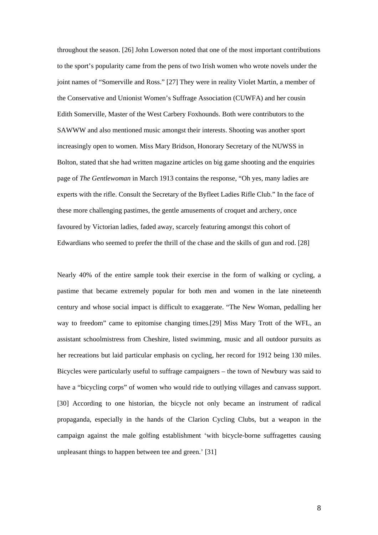throughout the season. [26] John Lowerson noted that one of the most important contributions to the sport's popularity came from the pens of two Irish women who wrote novels under the joint names of "Somerville and Ross." [27] They were in reality Violet Martin, a member of the Conservative and Unionist Women's Suffrage Association (CUWFA) and her cousin Edith Somerville, Master of the West Carbery Foxhounds. Both were contributors to the SAWWW and also mentioned music amongst their interests. Shooting was another sport increasingly open to women. Miss Mary Bridson, Honorary Secretary of the NUWSS in Bolton, stated that she had written magazine articles on big game shooting and the enquiries page of *The Gentlewoman* in March 1913 contains the response, "Oh yes, many ladies are experts with the rifle. Consult the Secretary of the Byfleet Ladies Rifle Club." In the face of these more challenging pastimes, the gentle amusements of croquet and archery, once favoured by Victorian ladies, faded away, scarcely featuring amongst this cohort of Edwardians who seemed to prefer the thrill of the chase and the skills of gun and rod. [28]

Nearly 40% of the entire sample took their exercise in the form of walking or cycling, a pastime that became extremely popular for both men and women in the late nineteenth century and whose social impact is difficult to exaggerate. "The New Woman, pedalling her way to freedom" came to epitomise changing times.[29] Miss Mary Trott of the WFL, an assistant schoolmistress from Cheshire, listed swimming, music and all outdoor pursuits as her recreations but laid particular emphasis on cycling, her record for 1912 being 130 miles. Bicycles were particularly useful to suffrage campaigners – the town of Newbury was said to have a "bicycling corps" of women who would ride to outlying villages and canvass support. [30] According to one historian, the bicycle not only became an instrument of radical propaganda, especially in the hands of the Clarion Cycling Clubs, but a weapon in the campaign against the male golfing establishment 'with bicycle-borne suffragettes causing unpleasant things to happen between tee and green.' [31]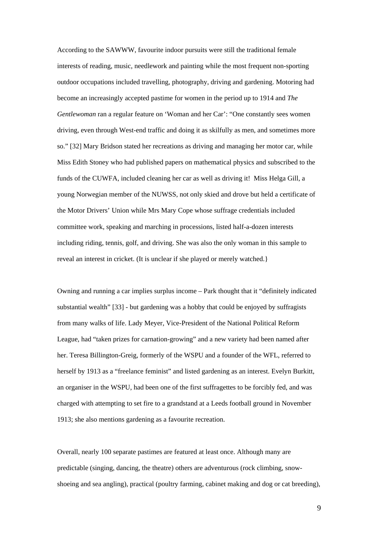According to the SAWWW, favourite indoor pursuits were still the traditional female interests of reading, music, needlework and painting while the most frequent non-sporting outdoor occupations included travelling, photography, driving and gardening. Motoring had become an increasingly accepted pastime for women in the period up to 1914 and *The Gentlewoman* ran a regular feature on 'Woman and her Car': "One constantly sees women driving, even through West-end traffic and doing it as skilfully as men, and sometimes more so." [32] Mary Bridson stated her recreations as driving and managing her motor car, while Miss Edith Stoney who had published papers on mathematical physics and subscribed to the funds of the CUWFA, included cleaning her car as well as driving it! Miss Helga Gill, a young Norwegian member of the NUWSS, not only skied and drove but held a certificate of the Motor Drivers' Union while Mrs Mary Cope whose suffrage credentials included committee work, speaking and marching in processions, listed half-a-dozen interests including riding, tennis, golf, and driving. She was also the only woman in this sample to reveal an interest in cricket. (It is unclear if she played or merely watched.}

Owning and running a car implies surplus income – Park thought that it "definitely indicated substantial wealth" [33] - but gardening was a hobby that could be enjoyed by suffragists from many walks of life. Lady Meyer, Vice-President of the National Political Reform League, had "taken prizes for carnation-growing" and a new variety had been named after her. Teresa Billington-Greig, formerly of the WSPU and a founder of the WFL, referred to herself by 1913 as a "freelance feminist" and listed gardening as an interest. Evelyn Burkitt, an organiser in the WSPU, had been one of the first suffragettes to be forcibly fed, and was charged with attempting to set fire to a grandstand at a Leeds football ground in November 1913; she also mentions gardening as a favourite recreation.

Overall, nearly 100 separate pastimes are featured at least once. Although many are predictable (singing, dancing, the theatre) others are adventurous (rock climbing, snowshoeing and sea angling), practical (poultry farming, cabinet making and dog or cat breeding),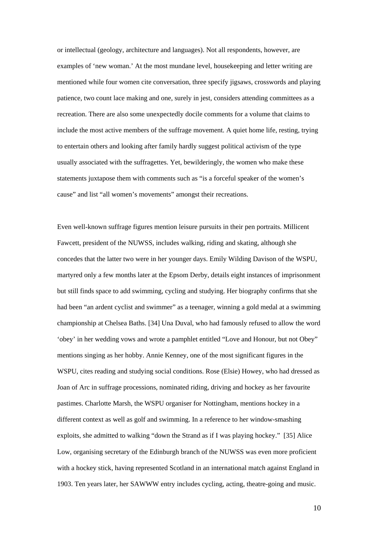or intellectual (geology, architecture and languages). Not all respondents, however, are examples of 'new woman.' At the most mundane level, housekeeping and letter writing are mentioned while four women cite conversation, three specify jigsaws, crosswords and playing patience, two count lace making and one, surely in jest, considers attending committees as a recreation. There are also some unexpectedly docile comments for a volume that claims to include the most active members of the suffrage movement. A quiet home life, resting, trying to entertain others and looking after family hardly suggest political activism of the type usually associated with the suffragettes. Yet, bewilderingly, the women who make these statements juxtapose them with comments such as "is a forceful speaker of the women's cause" and list "all women's movements" amongst their recreations.

Even well-known suffrage figures mention leisure pursuits in their pen portraits. Millicent Fawcett, president of the NUWSS, includes walking, riding and skating, although she concedes that the latter two were in her younger days. Emily Wilding Davison of the WSPU, martyred only a few months later at the Epsom Derby, details eight instances of imprisonment but still finds space to add swimming, cycling and studying. Her biography confirms that she had been "an ardent cyclist and swimmer" as a teenager, winning a gold medal at a swimming championship at Chelsea Baths. [34] Una Duval, who had famously refused to allow the word 'obey' in her wedding vows and wrote a pamphlet entitled "Love and Honour, but not Obey" mentions singing as her hobby. Annie Kenney, one of the most significant figures in the WSPU, cites reading and studying social conditions. Rose (Elsie) Howey, who had dressed as Joan of Arc in suffrage processions, nominated riding, driving and hockey as her favourite pastimes. Charlotte Marsh, the WSPU organiser for Nottingham, mentions hockey in a different context as well as golf and swimming. In a reference to her window-smashing exploits, she admitted to walking "down the Strand as if I was playing hockey." [35] Alice Low, organising secretary of the Edinburgh branch of the NUWSS was even more proficient with a hockey stick, having represented Scotland in an international match against England in 1903. Ten years later, her SAWWW entry includes cycling, acting, theatre-going and music.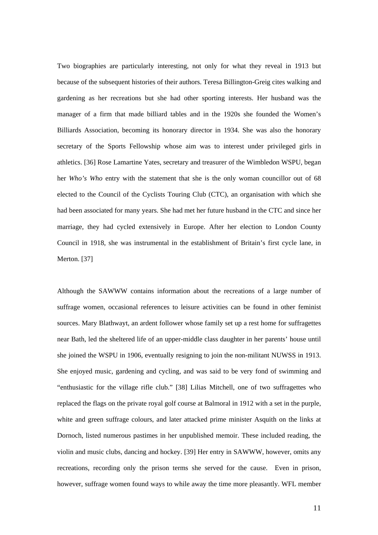Two biographies are particularly interesting, not only for what they reveal in 1913 but because of the subsequent histories of their authors. Teresa Billington-Greig cites walking and gardening as her recreations but she had other sporting interests. Her husband was the manager of a firm that made billiard tables and in the 1920s she founded the Women's Billiards Association, becoming its honorary director in 1934. She was also the honorary secretary of the Sports Fellowship whose aim was to interest under privileged girls in athletics. [36] Rose Lamartine Yates, secretary and treasurer of the Wimbledon WSPU, began her *Who's Who* entry with the statement that she is the only woman councillor out of 68 elected to the Council of the Cyclists Touring Club (CTC), an organisation with which she had been associated for many years. She had met her future husband in the CTC and since her marriage, they had cycled extensively in Europe. After her election to London County Council in 1918, she was instrumental in the establishment of Britain's first cycle lane, in Merton. [37]

Although the SAWWW contains information about the recreations of a large number of suffrage women, occasional references to leisure activities can be found in other feminist sources. Mary Blathwayt, an ardent follower whose family set up a rest home for suffragettes near Bath, led the sheltered life of an upper-middle class daughter in her parents' house until she joined the WSPU in 1906, eventually resigning to join the non-militant NUWSS in 1913. She enjoyed music, gardening and cycling, and was said to be very fond of swimming and "enthusiastic for the village rifle club." [38] Lilias Mitchell, one of two suffragettes who replaced the flags on the private royal golf course at Balmoral in 1912 with a set in the purple, white and green suffrage colours, and later attacked prime minister Asquith on the links at Dornoch, listed numerous pastimes in her unpublished memoir. These included reading, the violin and music clubs, dancing and hockey. [39] Her entry in SAWWW, however, omits any recreations, recording only the prison terms she served for the cause. Even in prison, however, suffrage women found ways to while away the time more pleasantly. WFL member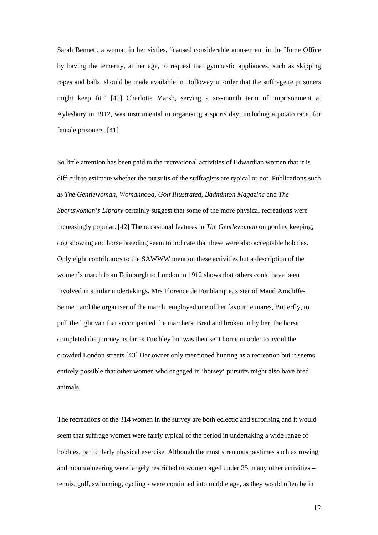Sarah Bennett, a woman in her sixties, "caused considerable amusement in the Home Office by having the temerity, at her age, to request that gymnastic appliances, such as skipping ropes and balls, should be made available in Holloway in order that the suffragette prisoners might keep fit." [40] Charlotte Marsh, serving a six-month term of imprisonment at Aylesbury in 1912, was instrumental in organising a sports day, including a potato race, for female prisoners. [41]

So little attention has been paid to the recreational activities of Edwardian women that it is difficult to estimate whether the pursuits of the suffragists are typical or not. Publications such as *The Gentlewoman*, *Womanhood, Golf Illustrated*, *Badminton Magazine* and *The Sportswoman's Library* certainly suggest that some of the more physical recreations were increasingly popular. [42] The occasional features in *The Gentlewoman* on poultry keeping, dog showing and horse breeding seem to indicate that these were also acceptable hobbies. Only eight contributors to the SAWWW mention these activities but a description of the women's march from Edinburgh to London in 1912 shows that others could have been involved in similar undertakings. Mrs Florence de Fonblanque, sister of Maud Arncliffe-Sennett and the organiser of the march, employed one of her favourite mares, Butterfly, to pull the light van that accompanied the marchers. Bred and broken in by her, the horse completed the journey as far as Finchley but was then sent home in order to avoid the crowded London streets.[43] Her owner only mentioned hunting as a recreation but it seems entirely possible that other women who engaged in 'horsey' pursuits might also have bred animals.

The recreations of the 314 women in the survey are both eclectic and surprising and it would seem that suffrage women were fairly typical of the period in undertaking a wide range of hobbies, particularly physical exercise. Although the most strenuous pastimes such as rowing and mountaineering were largely restricted to women aged under 35, many other activities – tennis, golf, swimming, cycling - were continued into middle age, as they would often be in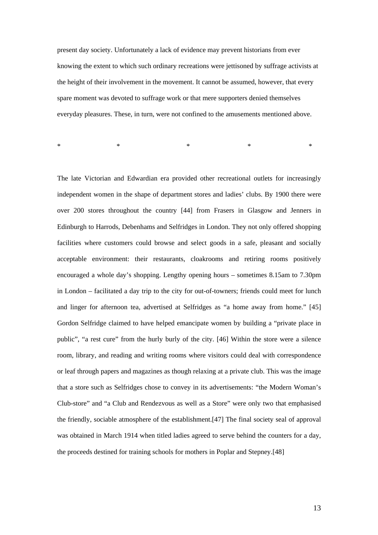present day society. Unfortunately a lack of evidence may prevent historians from ever knowing the extent to which such ordinary recreations were jettisoned by suffrage activists at the height of their involvement in the movement. It cannot be assumed, however, that every spare moment was devoted to suffrage work or that mere supporters denied themselves everyday pleasures. These, in turn, were not confined to the amusements mentioned above.

 $*$   $*$   $*$   $*$   $*$   $*$   $*$ 

The late Victorian and Edwardian era provided other recreational outlets for increasingly independent women in the shape of department stores and ladies' clubs. By 1900 there were over 200 stores throughout the country [44] from Frasers in Glasgow and Jenners in Edinburgh to Harrods, Debenhams and Selfridges in London. They not only offered shopping facilities where customers could browse and select goods in a safe, pleasant and socially acceptable environment: their restaurants, cloakrooms and retiring rooms positively encouraged a whole day's shopping. Lengthy opening hours – sometimes 8.15am to 7.30pm in London – facilitated a day trip to the city for out-of-towners; friends could meet for lunch and linger for afternoon tea, advertised at Selfridges as "a home away from home." [45] Gordon Selfridge claimed to have helped emancipate women by building a "private place in public", "a rest cure" from the hurly burly of the city. [46] Within the store were a silence room, library, and reading and writing rooms where visitors could deal with correspondence or leaf through papers and magazines as though relaxing at a private club. This was the image that a store such as Selfridges chose to convey in its advertisements: "the Modern Woman's Club-store" and "a Club and Rendezvous as well as a Store" were only two that emphasised the friendly, sociable atmosphere of the establishment.[47] The final society seal of approval was obtained in March 1914 when titled ladies agreed to serve behind the counters for a day, the proceeds destined for training schools for mothers in Poplar and Stepney.[48]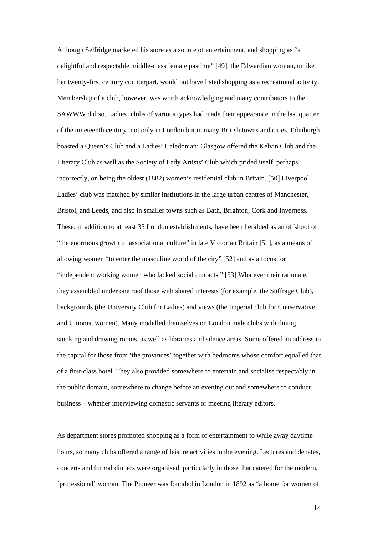Although Selfridge marketed his store as a source of entertainment, and shopping as "a delightful and respectable middle-class female pastime" [49], the Edwardian woman, unlike her twenty-first century counterpart, would not have listed shopping as a recreational activity. Membership of a club, however, was worth acknowledging and many contributors to the SAWWW did so. Ladies' clubs of various types had made their appearance in the last quarter of the nineteenth century, not only in London but in many British towns and cities. Edinburgh boasted a Queen's Club and a Ladies' Caledonian; Glasgow offered the Kelvin Club and the Literary Club as well as the Society of Lady Artists' Club which prided itself, perhaps incorrectly, on being the oldest (1882) women's residential club in Britain. [50] Liverpool Ladies' club was matched by similar institutions in the large urban centres of Manchester, Bristol, and Leeds, and also in smaller towns such as Bath, Brighton, Cork and Inverness. These, in addition to at least 35 London establishments, have been heralded as an offshoot of "the enormous growth of associational culture" in late Victorian Britain [51], as a means of allowing women "to enter the masculine world of the city" [52] and as a focus for "independent working women who lacked social contacts." [53] Whatever their rationale, they assembled under one roof those with shared interests (for example, the Suffrage Club), backgrounds (the University Club for Ladies) and views (the Imperial club for Conservative and Unionist women). Many modelled themselves on London male clubs with dining, smoking and drawing rooms, as well as libraries and silence areas. Some offered an address in the capital for those from 'the provinces' together with bedrooms whose comfort equalled that of a first-class hotel. They also provided somewhere to entertain and socialise respectably in the public domain, somewhere to change before an evening out and somewhere to conduct business – whether interviewing domestic servants or meeting literary editors.

As department stores promoted shopping as a form of entertainment to while away daytime hours, so many clubs offered a range of leisure activities in the evening. Lectures and debates, concerts and formal dinners were organised, particularly in those that catered for the modern, 'professional' woman. The Pioneer was founded in London in 1892 as "a home for women of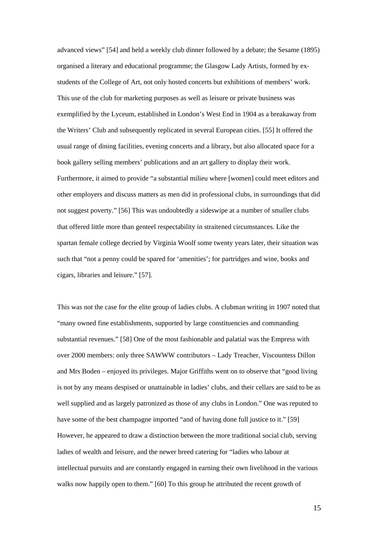advanced views" [54] and held a weekly club dinner followed by a debate; the Sesame (1895) organised a literary and educational programme; the Glasgow Lady Artists, formed by exstudents of the College of Art, not only hosted concerts but exhibitions of members' work. This use of the club for marketing purposes as well as leisure or private business was exemplified by the Lyceum, established in London's West End in 1904 as a breakaway from the Writers' Club and subsequently replicated in several European cities. [55] It offered the usual range of dining facilities, evening concerts and a library, but also allocated space for a book gallery selling members' publications and an art gallery to display their work. Furthermore, it aimed to provide "a substantial milieu where [women] could meet editors and other employers and discuss matters as men did in professional clubs, in surroundings that did not suggest poverty." [56] This was undoubtedly a sideswipe at a number of smaller clubs that offered little more than genteel respectability in straitened circumstances. Like the spartan female college decried by Virginia Woolf some twenty years later, their situation was such that "not a penny could be spared for 'amenities'; for partridges and wine, books and cigars, libraries and leisure." [57].

This was not the case for the elite group of ladies clubs. A clubman writing in 1907 noted that "many owned fine establishments, supported by large constituencies and commanding substantial revenues." [58] One of the most fashionable and palatial was the Empress with over 2000 members: only three SAWWW contributors – Lady Treacher, Viscountess Dillon and Mrs Boden – enjoyed its privileges. Major Griffiths went on to observe that "good living is not by any means despised or unattainable in ladies' clubs, and their cellars are said to be as well supplied and as largely patronized as those of any clubs in London." One was reputed to have some of the best champagne imported "and of having done full justice to it." [59] However, he appeared to draw a distinction between the more traditional social club, serving ladies of wealth and leisure, and the newer breed catering for "ladies who labour at intellectual pursuits and are constantly engaged in earning their own livelihood in the various walks now happily open to them." [60] To this group he attributed the recent growth of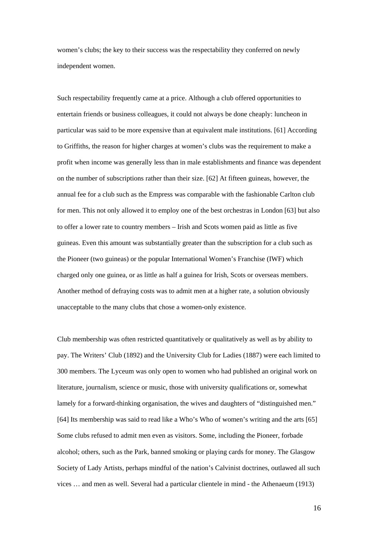women's clubs; the key to their success was the respectability they conferred on newly independent women.

Such respectability frequently came at a price. Although a club offered opportunities to entertain friends or business colleagues, it could not always be done cheaply: luncheon in particular was said to be more expensive than at equivalent male institutions. [61] According to Griffiths, the reason for higher charges at women's clubs was the requirement to make a profit when income was generally less than in male establishments and finance was dependent on the number of subscriptions rather than their size. [62] At fifteen guineas, however, the annual fee for a club such as the Empress was comparable with the fashionable Carlton club for men. This not only allowed it to employ one of the best orchestras in London [63] but also to offer a lower rate to country members – Irish and Scots women paid as little as five guineas. Even this amount was substantially greater than the subscription for a club such as the Pioneer (two guineas) or the popular International Women's Franchise (IWF) which charged only one guinea, or as little as half a guinea for Irish, Scots or overseas members. Another method of defraying costs was to admit men at a higher rate, a solution obviously unacceptable to the many clubs that chose a women-only existence.

Club membership was often restricted quantitatively or qualitatively as well as by ability to pay. The Writers' Club (1892) and the University Club for Ladies (1887) were each limited to 300 members. The Lyceum was only open to women who had published an original work on literature, journalism, science or music, those with university qualifications or, somewhat lamely for a forward-thinking organisation, the wives and daughters of "distinguished men." [64] Its membership was said to read like a Who's Who of women's writing and the arts [65] Some clubs refused to admit men even as visitors. Some, including the Pioneer, forbade alcohol; others, such as the Park, banned smoking or playing cards for money. The Glasgow Society of Lady Artists, perhaps mindful of the nation's Calvinist doctrines, outlawed all such vices … and men as well. Several had a particular clientele in mind - the Athenaeum (1913)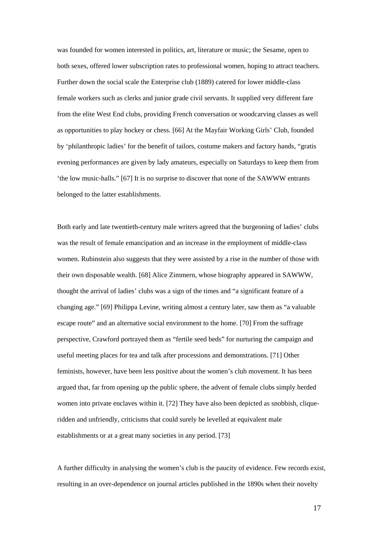was founded for women interested in politics, art, literature or music; the Sesame, open to both sexes, offered lower subscription rates to professional women, hoping to attract teachers. Further down the social scale the Enterprise club (1889) catered for lower middle-class female workers such as clerks and junior grade civil servants. It supplied very different fare from the elite West End clubs, providing French conversation or woodcarving classes as well as opportunities to play hockey or chess. [66] At the Mayfair Working Girls' Club, founded by 'philanthropic ladies' for the benefit of tailors, costume makers and factory hands, "gratis evening performances are given by lady amateurs, especially on Saturdays to keep them from 'the low music-halls." [67] It is no surprise to discover that none of the SAWWW entrants belonged to the latter establishments.

Both early and late twentieth-century male writers agreed that the burgeoning of ladies' clubs was the result of female emancipation and an increase in the employment of middle-class women. Rubinstein also suggests that they were assisted by a rise in the number of those with their own disposable wealth. [68] Alice Zimmern, whose biography appeared in SAWWW, thought the arrival of ladies' clubs was a sign of the times and "a significant feature of a changing age." [69] Philippa Levine, writing almost a century later, saw them as "a valuable escape route" and an alternative social environment to the home. [70] From the suffrage perspective, Crawford portrayed them as "fertile seed beds" for nurturing the campaign and useful meeting places for tea and talk after processions and demonstrations. [71] Other feminists, however, have been less positive about the women's club movement. It has been argued that, far from opening up the public sphere, the advent of female clubs simply herded women into private enclaves within it. [72] They have also been depicted as snobbish, cliqueridden and unfriendly, criticisms that could surely be levelled at equivalent male establishments or at a great many societies in any period. [73]

A further difficulty in analysing the women's club is the paucity of evidence. Few records exist, resulting in an over-dependence on journal articles published in the 1890s when their novelty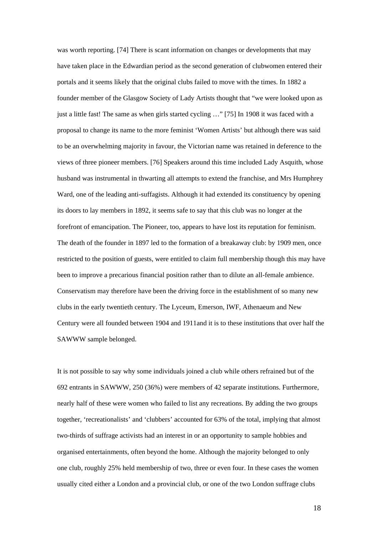was worth reporting. [74] There is scant information on changes or developments that may have taken place in the Edwardian period as the second generation of clubwomen entered their portals and it seems likely that the original clubs failed to move with the times. In 1882 a founder member of the Glasgow Society of Lady Artists thought that "we were looked upon as just a little fast! The same as when girls started cycling …" [75] In 1908 it was faced with a proposal to change its name to the more feminist 'Women Artists' but although there was said to be an overwhelming majority in favour, the Victorian name was retained in deference to the views of three pioneer members. [76] Speakers around this time included Lady Asquith, whose husband was instrumental in thwarting all attempts to extend the franchise, and Mrs Humphrey Ward, one of the leading anti-suffagists. Although it had extended its constituency by opening its doors to lay members in 1892, it seems safe to say that this club was no longer at the forefront of emancipation. The Pioneer, too, appears to have lost its reputation for feminism. The death of the founder in 1897 led to the formation of a breakaway club: by 1909 men, once restricted to the position of guests, were entitled to claim full membership though this may have been to improve a precarious financial position rather than to dilute an all-female ambience. Conservatism may therefore have been the driving force in the establishment of so many new clubs in the early twentieth century. The Lyceum, Emerson, IWF, Athenaeum and New Century were all founded between 1904 and 1911and it is to these institutions that over half the SAWWW sample belonged.

It is not possible to say why some individuals joined a club while others refrained but of the 692 entrants in SAWWW, 250 (36%) were members of 42 separate institutions. Furthermore, nearly half of these were women who failed to list any recreations. By adding the two groups together, 'recreationalists' and 'clubbers' accounted for 63% of the total, implying that almost two-thirds of suffrage activists had an interest in or an opportunity to sample hobbies and organised entertainments, often beyond the home. Although the majority belonged to only one club, roughly 25% held membership of two, three or even four. In these cases the women usually cited either a London and a provincial club, or one of the two London suffrage clubs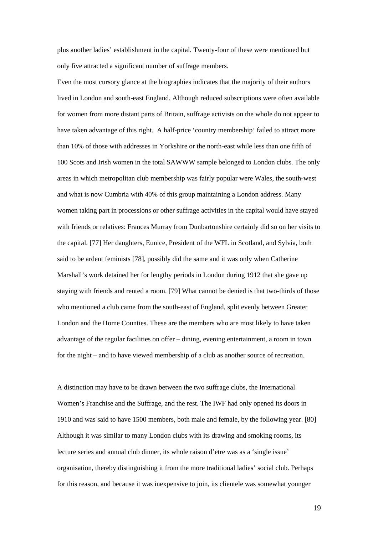plus another ladies' establishment in the capital. Twenty-four of these were mentioned but only five attracted a significant number of suffrage members.

Even the most cursory glance at the biographies indicates that the majority of their authors lived in London and south-east England. Although reduced subscriptions were often available for women from more distant parts of Britain, suffrage activists on the whole do not appear to have taken advantage of this right. A half-price 'country membership' failed to attract more than 10% of those with addresses in Yorkshire or the north-east while less than one fifth of 100 Scots and Irish women in the total SAWWW sample belonged to London clubs. The only areas in which metropolitan club membership was fairly popular were Wales, the south-west and what is now Cumbria with 40% of this group maintaining a London address. Many women taking part in processions or other suffrage activities in the capital would have stayed with friends or relatives: Frances Murray from Dunbartonshire certainly did so on her visits to the capital. [77] Her daughters, Eunice, President of the WFL in Scotland, and Sylvia, both said to be ardent feminists [78], possibly did the same and it was only when Catherine Marshall's work detained her for lengthy periods in London during 1912 that she gave up staying with friends and rented a room. [79] What cannot be denied is that two-thirds of those who mentioned a club came from the south-east of England, split evenly between Greater London and the Home Counties. These are the members who are most likely to have taken advantage of the regular facilities on offer – dining, evening entertainment, a room in town for the night – and to have viewed membership of a club as another source of recreation.

A distinction may have to be drawn between the two suffrage clubs, the International Women's Franchise and the Suffrage, and the rest. The IWF had only opened its doors in 1910 and was said to have 1500 members, both male and female, by the following year. [80] Although it was similar to many London clubs with its drawing and smoking rooms, its lecture series and annual club dinner, its whole raison d'etre was as a 'single issue' organisation, thereby distinguishing it from the more traditional ladies' social club. Perhaps for this reason, and because it was inexpensive to join, its clientele was somewhat younger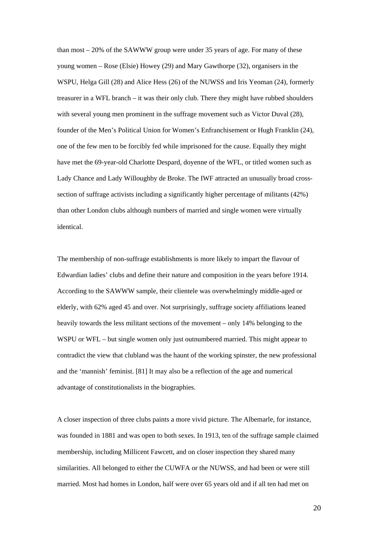than most – 20% of the SAWWW group were under 35 years of age. For many of these young women – Rose (Elsie) Howey (29) and Mary Gawthorpe (32), organisers in the WSPU, Helga Gill (28) and Alice Hess (26) of the NUWSS and Iris Yeoman (24), formerly treasurer in a WFL branch – it was their only club. There they might have rubbed shoulders with several young men prominent in the suffrage movement such as Victor Duval (28), founder of the Men's Political Union for Women's Enfranchisement or Hugh Franklin (24), one of the few men to be forcibly fed while imprisoned for the cause. Equally they might have met the 69-year-old Charlotte Despard, doyenne of the WFL, or titled women such as Lady Chance and Lady Willoughby de Broke. The IWF attracted an unusually broad crosssection of suffrage activists including a significantly higher percentage of militants (42%) than other London clubs although numbers of married and single women were virtually identical.

The membership of non-suffrage establishments is more likely to impart the flavour of Edwardian ladies' clubs and define their nature and composition in the years before 1914. According to the SAWWW sample, their clientele was overwhelmingly middle-aged or elderly, with 62% aged 45 and over. Not surprisingly, suffrage society affiliations leaned heavily towards the less militant sections of the movement – only 14% belonging to the WSPU or WFL – but single women only just outnumbered married. This might appear to contradict the view that clubland was the haunt of the working spinster, the new professional and the 'mannish' feminist. [81] It may also be a reflection of the age and numerical advantage of constitutionalists in the biographies.

A closer inspection of three clubs paints a more vivid picture. The Albemarle, for instance, was founded in 1881 and was open to both sexes. In 1913, ten of the suffrage sample claimed membership, including Millicent Fawcett, and on closer inspection they shared many similarities. All belonged to either the CUWFA or the NUWSS, and had been or were still married. Most had homes in London, half were over 65 years old and if all ten had met on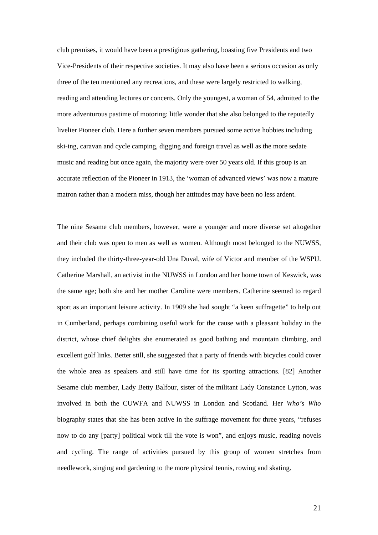club premises, it would have been a prestigious gathering, boasting five Presidents and two Vice-Presidents of their respective societies. It may also have been a serious occasion as only three of the ten mentioned any recreations, and these were largely restricted to walking, reading and attending lectures or concerts. Only the youngest, a woman of 54, admitted to the more adventurous pastime of motoring: little wonder that she also belonged to the reputedly livelier Pioneer club. Here a further seven members pursued some active hobbies including ski-ing, caravan and cycle camping, digging and foreign travel as well as the more sedate music and reading but once again, the majority were over 50 years old. If this group is an accurate reflection of the Pioneer in 1913, the 'woman of advanced views' was now a mature matron rather than a modern miss, though her attitudes may have been no less ardent.

The nine Sesame club members, however, were a younger and more diverse set altogether and their club was open to men as well as women. Although most belonged to the NUWSS, they included the thirty-three-year-old Una Duval, wife of Victor and member of the WSPU. Catherine Marshall, an activist in the NUWSS in London and her home town of Keswick, was the same age; both she and her mother Caroline were members. Catherine seemed to regard sport as an important leisure activity. In 1909 she had sought "a keen suffragette" to help out in Cumberland, perhaps combining useful work for the cause with a pleasant holiday in the district, whose chief delights she enumerated as good bathing and mountain climbing, and excellent golf links. Better still, she suggested that a party of friends with bicycles could cover the whole area as speakers and still have time for its sporting attractions. [82] Another Sesame club member, Lady Betty Balfour, sister of the militant Lady Constance Lytton, was involved in both the CUWFA and NUWSS in London and Scotland. Her *Who's Who* biography states that she has been active in the suffrage movement for three years, "refuses now to do any [party] political work till the vote is won", and enjoys music, reading novels and cycling. The range of activities pursued by this group of women stretches from needlework, singing and gardening to the more physical tennis, rowing and skating.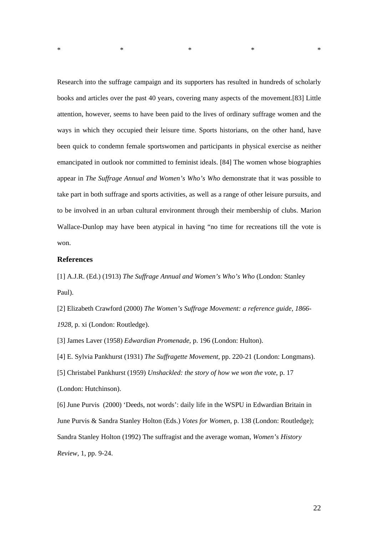Research into the suffrage campaign and its supporters has resulted in hundreds of scholarly books and articles over the past 40 years, covering many aspects of the movement.[83] Little attention, however, seems to have been paid to the lives of ordinary suffrage women and the ways in which they occupied their leisure time. Sports historians, on the other hand, have been quick to condemn female sportswomen and participants in physical exercise as neither emancipated in outlook nor committed to feminist ideals. [84] The women whose biographies appear in *The Suffrage Annual and Women's Who's Who* demonstrate that it was possible to take part in both suffrage and sports activities, as well as a range of other leisure pursuits, and to be involved in an urban cultural environment through their membership of clubs. Marion Wallace-Dunlop may have been atypical in having "no time for recreations till the vote is won.

 $*$   $*$   $*$   $*$   $*$   $*$ 

## **References**

[1] A.J.R. (Ed.) (1913) *The Suffrage Annual and Women's Who's Who* (London: Stanley Paul).

[2] Elizabeth Crawford (2000) *The Women's Suffrage Movement: a reference guide, 1866- 1928,* p. xi (London: Routledge).

[3] James Laver (1958) *Edwardian Promenade*, p. 196 (London: Hulton).

[4] E. Sylvia Pankhurst (1931) *The Suffragette Movement*, pp. 220-21 (London: Longmans).

[5] Christabel Pankhurst (1959) *Unshackled: the story of how we won the vote*, p. 17 (London: Hutchinson).

[6] June Purvis (2000) 'Deeds, not words': daily life in the WSPU in Edwardian Britain in June Purvis & Sandra Stanley Holton (Eds.) *Votes for Women*, p. 138 (London: Routledge); Sandra Stanley Holton (1992) The suffragist and the average woman, *Women's History Review*, 1, pp. 9-24.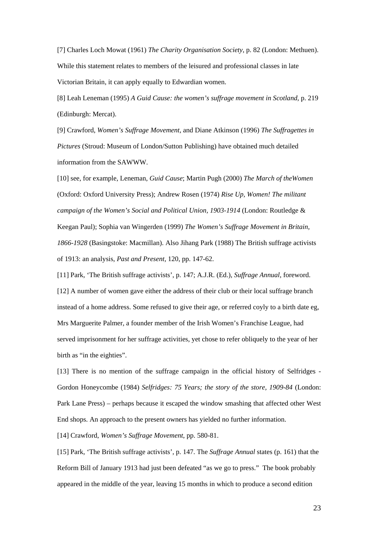[7] Charles Loch Mowat (1961) *The Charity Organisation Society*, p. 82 (London: Methuen). While this statement relates to members of the leisured and professional classes in late Victorian Britain, it can apply equally to Edwardian women.

[8] Leah Leneman (1995) *A Guid Cause: the women's suffrage movement in Scotland*, p. 219 (Edinburgh: Mercat).

[9] Crawford, *Women's Suffrage Movement*, and Diane Atkinson (1996) *The Suffragettes in Pictures* (Stroud: Museum of London/Sutton Publishing) have obtained much detailed information from the SAWWW.

[10] see, for example, Leneman, *Guid Cause*; Martin Pugh (2000) *The March of theWomen*  (Oxford: Oxford University Press); Andrew Rosen (1974) *Rise Up, Women! The militant campaign of the Women's Social and Political Union, 1903-1914* (London: Routledge & Keegan Paul); Sophia van Wingerden (1999) *The Women's Suffrage Movement in Britain, 1866-1928* (Basingstoke: Macmillan). Also Jihang Park (1988) The British suffrage activists of 1913: an analysis, *Past and Present,* 120, pp. 147-62.

[11] Park, 'The British suffrage activists', p. 147; A.J.R. (Ed.), *Suffrage Annual*, foreword. [12] A number of women gave either the address of their club or their local suffrage branch instead of a home address. Some refused to give their age, or referred coyly to a birth date eg, Mrs Marguerite Palmer, a founder member of the Irish Women's Franchise League, had served imprisonment for her suffrage activities, yet chose to refer obliquely to the year of her birth as "in the eighties".

[13] There is no mention of the suffrage campaign in the official history of Selfridges - Gordon Honeycombe (1984) *Selfridges: 75 Years; the story of the store, 1909-84* (London: Park Lane Press) – perhaps because it escaped the window smashing that affected other West End shops. An approach to the present owners has yielded no further information.

[14] Crawford, *Women's Suffrage Movement*, pp. 580-81.

[15] Park, 'The British suffrage activists', p. 147. The *Suffrage Annual* states (p. 161) that the Reform Bill of January 1913 had just been defeated "as we go to press." The book probably appeared in the middle of the year, leaving 15 months in which to produce a second edition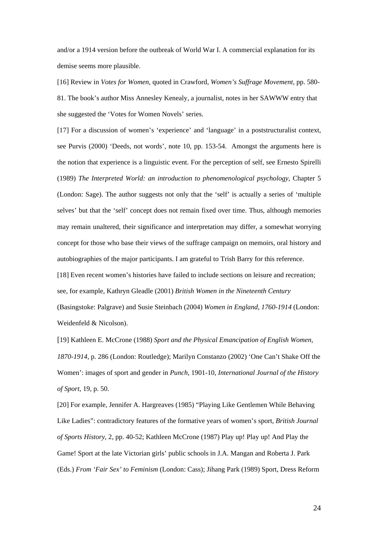and/or a 1914 version before the outbreak of World War I. A commercial explanation for its demise seems more plausible.

[16] Review in *Votes for Women*, quoted in Crawford, *Women's Suffrage Movement,* pp. 580- 81. The book's author Miss Annesley Kenealy, a journalist, notes in her SAWWW entry that she suggested the 'Votes for Women Novels' series.

[17] For a discussion of women's 'experience' and 'language' in a poststructuralist context, see Purvis (2000) 'Deeds, not words', note 10, pp. 153-54. Amongst the arguments here is the notion that experience is a linguistic event. For the perception of self, see Ernesto Spirelli (1989) *The Interpreted World: an introduction to phenomenological psychology*, Chapter 5 (London: Sage). The author suggests not only that the 'self' is actually a series of 'multiple selves' but that the 'self' concept does not remain fixed over time. Thus, although memories may remain unaltered, their significance and interpretation may differ, a somewhat worrying concept for those who base their views of the suffrage campaign on memoirs, oral history and autobiographies of the major participants. I am grateful to Trish Barry for this reference.

[18] Even recent women's histories have failed to include sections on leisure and recreation; see, for example, Kathryn Gleadle (2001) *British Women in the Nineteenth Century* (Basingstoke: Palgrave) and Susie Steinbach (2004) *Women in England, 1760-1914* (London: Weidenfeld & Nicolson).

[19] Kathleen E. McCrone (1988) *Sport and the Physical Emancipation of English Women, 1870-1914*, p. 286 (London: Routledge); Marilyn Constanzo (2002) 'One Can't Shake Off the Women': images of sport and gender in *Punch*, 1901-10, *International Journal of the History of Sport*, 19, p. 50.

[20] For example, Jennifer A. Hargreaves (1985) "Playing Like Gentlemen While Behaving Like Ladies": contradictory features of the formative years of women's sport, *British Journal of Sports History,* 2, pp. 40-52; Kathleen McCrone (1987) Play up! Play up! And Play the Game! Sport at the late Victorian girls' public schools in J.A. Mangan and Roberta J. Park (Eds.) *From 'Fair Sex' to Feminism* (London: Cass); Jihang Park (1989) Sport, Dress Reform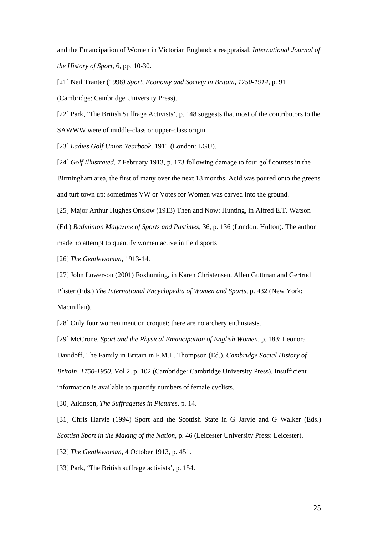and the Emancipation of Women in Victorian England: a reappraisal, *International Journal of the History of Sport*, 6, pp. 10-30.

[21] Neil Tranter (1998*) Sport, Economy and Society in Britain, 1750-1914*, p. 91 (Cambridge: Cambridge University Press).

[22] Park, 'The British Suffrage Activists', p. 148 suggests that most of the contributors to the SAWWW were of middle-class or upper-class origin.

[23] *Ladies Golf Union Yearbook*, 1911 (London: LGU).

[24] *Golf Illustrated*, 7 February 1913, p. 173 following damage to four golf courses in the Birmingham area, the first of many over the next 18 months. Acid was poured onto the greens and turf town up; sometimes VW or Votes for Women was carved into the ground.

[25] Major Arthur Hughes Onslow (1913) Then and Now: Hunting, in Alfred E.T. Watson (Ed.) *Badminton Magazine of Sports and Pastimes*, 36, p. 136 (London: Hulton). The author

made no attempt to quantify women active in field sports

[26] *The Gentlewoman*, 1913-14.

[27] John Lowerson (2001) Foxhunting, in Karen Christensen, Allen Guttman and Gertrud Pfister (Eds.) *The International Encyclopedia of Women and Sports*, p. 432 (New York: Macmillan).

[28] Only four women mention croquet; there are no archery enthusiasts.

[29] McCrone, *Sport and the Physical Emancipation of English Women*, p. 183; Leonora Davidoff, The Family in Britain in F.M.L. Thompson (Ed.), *Cambridge Social History of Britain, 1750-1950*, Vol 2, p. 102 (Cambridge: Cambridge University Press). Insufficient information is available to quantify numbers of female cyclists.

[30] Atkinson, *The Suffragettes in Pictures*, p. 14.

[31] Chris Harvie (1994) Sport and the Scottish State in G Jarvie and G Walker (Eds.) *Scottish Sport in the Making of the Nation*, p. 46 (Leicester University Press: Leicester).

[32] *The Gentlewoman*, 4 October 1913, p. 451.

[33] Park, 'The British suffrage activists', p. 154.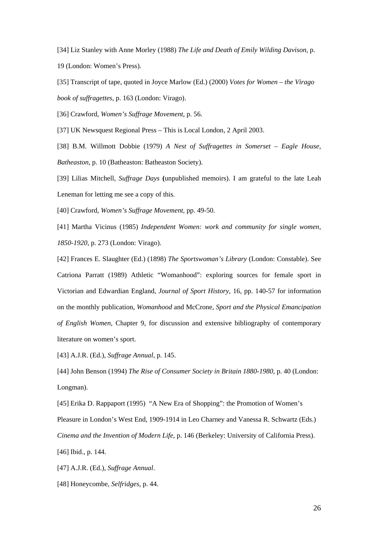[34] Liz Stanley with Anne Morley (1988) *The Life and Death of Emily Wilding Davison*, p. 19 (London: Women's Press).

[35] Transcript of tape, quoted in Joyce Marlow (Ed.) (2000) *Votes for Women – the Virago book of suffragettes*, p. 163 (London: Virago).

[36] Crawford, *Women's Suffrage Movement*, p. 56.

[37] UK Newsquest Regional Press – This is Local London, 2 April 2003.

[38] B.M. Willmott Dobbie (1979) *A Nest of Suffragettes in Somerset – Eagle House, Batheaston*, p. 10 (Batheaston: Batheaston Society).

[39] Lilias Mitchell, *Suffrage Days* **(**unpublished memoirs). I am grateful to the late Leah Leneman for letting me see a copy of this.

[40] Crawford, *Women's Suffrage Movement*, pp. 49-50.

[41] Martha Vicinus (1985) *Independent Women: work and community for single women, 1850-1920*, p. 273 (London: Virago).

[42] Frances E. Slaughter (Ed.) (1898) *The Sportswoman's Library* (London: Constable). See Catriona Parratt (1989) Athletic "Womanhood": exploring sources for female sport in Victorian and Edwardian England, *Journal of Sport History*, 16, pp. 140-57 for information on the monthly publication, *Womanhood* and McCrone, *Sport and the Physical Emancipation of English Women*, Chapter 9, for discussion and extensive bibliography of contemporary literature on women's sport.

[43] A.J.R. (Ed.), *Suffrage Annual*, p. 145.

[44] John Benson (1994) *The Rise of Consumer Society in Britain 1880-1980*, p. 40 (London: Longman).

[45] Erika D. Rappaport (1995) "A New Era of Shopping": the Promotion of Women's Pleasure in London's West End, 1909-1914 in Leo Charney and Vanessa R. Schwartz (Eds.) *Cinema and the Invention of Modern Life*, p. 146 (Berkeley: University of California Press). [46] Ibid., p. 144.

[47] A.J.R. (Ed.), *Suffrage Annual*.

[48] Honeycombe, *Selfridges*, p. 44.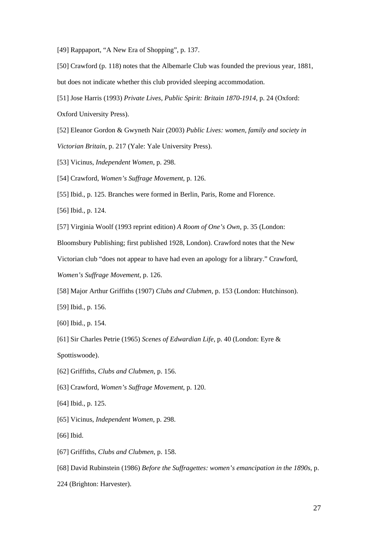[49] Rappaport, "A New Era of Shopping", p. 137.

[50] Crawford (p. 118) notes that the Albemarle Club was founded the previous year, 1881,

- but does not indicate whether this club provided sleeping accommodation.
- [51] Jose Harris (1993) *Private Lives, Public Spirit: Britain 1870-1914*, p. 24 (Oxford:
- Oxford University Press).
- [52] Eleanor Gordon & Gwyneth Nair (2003) *Public Lives: women, family and society in Victorian Britain*, p. 217 (Yale: Yale University Press).
- [53] Vicinus, *Independent Women*, p. 298.
- [54] Crawford, *Women's Suffrage Movement*, p. 126.
- [55] Ibid., p. 125. Branches were formed in Berlin, Paris, Rome and Florence.

[56] Ibid., p. 124.

[57] Virginia Woolf (1993 reprint edition) *A Room of One's Own*, p. 35 (London:

Bloomsbury Publishing; first published 1928, London). Crawford notes that the New

Victorian club "does not appear to have had even an apology for a library." Crawford,

*Women's Suffrage Movement*, p. 126.

[58] Major Arthur Griffiths (1907) *Clubs and Clubmen*, p. 153 (London: Hutchinson).

- [59] Ibid., p. 156.
- [60] Ibid., p. 154.
- [61] Sir Charles Petrie (1965) *Scenes of Edwardian Life*, p. 40 (London: Eyre &

Spottiswoode).

- [62] Griffiths, *Clubs and Clubmen*, p. 156.
- [63] Crawford, *Women's Suffrage Movement*, p. 120.
- [64] Ibid., p. 125.
- [65] Vicinus, *Independent Women*, p. 298.
- [66] Ibid.
- [67] Griffiths, *Clubs and Clubmen*, p. 158.
- [68] David Rubinstein (1986) *Before the Suffragettes: women's emancipation in the 1890s*, p.
- 224 (Brighton: Harvester).